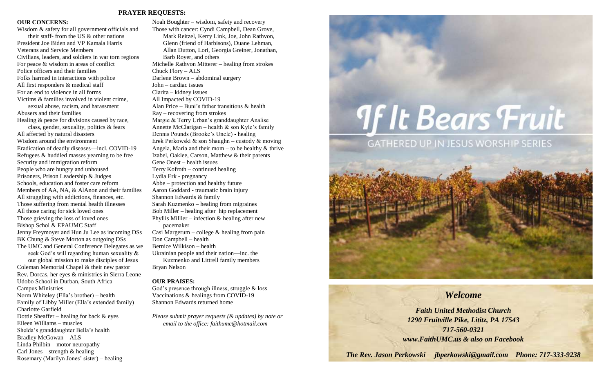#### **PRAYER REQUESTS:**

#### **OUR CONCERNS:**

Wisdom & safety for all government officials and their staff- from the US & other nations President Joe Biden and VP Kamala Harris Veterans and Service Members Civilians, leaders, and soldiers in war torn regions For peace & wisdom in areas of conflict Police officers and their families Folks harmed in interactions with police All first responders & medical staff For an end to violence in all forms Victims & families involved in violent crime, sexual abuse, racism, and harassment Abusers and their families Healing & peace for divisions caused by race, class, gender, sexuality, politics & fears All affected by natural disasters Wisdom around the environment Eradication of deadly diseases—incl. COVID-19 Refugees & huddled masses yearning to be free Security and immigration reform People who are hungry and unhoused Prisoners, Prison Leadership & Judges Schools, education and foster care reform Members of AA, NA, & AlAnon and their families All struggling with addictions, finances, etc. Those suffering from mental health illnesses All those caring for sick loved ones Those grieving the loss of loved ones Bishop Schol & EPAUMC Staff Jenny Freymoyer and Hun Ju Lee as incoming DSs BK Chung & Steve Morton as outgoing DSs The UMC and General Conference Delegates as we seek God's will regarding human sexuality & our global mission to make disciples of Jesus Coleman Memorial Chapel & their new pastor Rev. Dorcas, her eyes & ministries in Sierra Leone Udobo School in Durban, South Africa Campus Ministries Norm Whiteley (Ella's brother) – health Family of Libby Miller (Ella's extended family) Charlotte Garfield Dottie Sheaffer – healing for back & eyes Eileen Williams – muscles Shelda's granddaughter Bella's health Bradley McGowan – ALS Linda Philbin – motor neuropathy

Carl Jones – strength  $&$  healing

Rosemary (Marilyn Jones' sister) – healing

Noah Boughter – wisdom, safety and recovery Those with cancer: Cyndi Campbell, Dean Grove, Mark Reitzel, Kerry Link, Joe, John Rathvon, Glenn (friend of Harbisons), Duane Lehman, Allan Dutton, Lori, Georgia Greiner, Jonathan, Barb Royer, and others Michelle Rathvon Mitterer – healing from strokes Chuck Flory – ALS Darlene Brown – abdominal surgery John – cardiac issues Clarita – kidney issues All Impacted by COVID-19 Alan Price – Buni's father transitions & health Ray – recovering from strokes Margie & Terry Urban's granddaughter Analise Annette McClarigan – health & son Kyle's family Dennis Pounds (Brooke's Uncle) - healing Erek Perkowski & son Shaughn – custody & moving Angela, Maria and their mom – to be healthy  $&$  thrive Izabel, Oaklee, Carson, Matthew & their parents Gene Onest – health issues Terry Kofroth – continued healing Lydia Erk - pregnancy Abbe – protection and healthy future Aaron Goddard - traumatic brain injury Shannon Edwards & family Sarah Kuzmenko – healing from migraines Bob Miller – healing after hip replacement Phyllis Miller – infection  $\&$  healing after new pacemaker Casi Margerum – college & healing from pain Don Campbell – health Bernice Wilkison – health Ukrainian people and their nation—inc. the Kuzmenko and Littrell family members Bryan Nelson

#### **OUR PRAISES:**

God's presence through illness, struggle & loss Vaccinations & healings from COVID-19 Shannon Edwards returned home

*Please submit prayer requests (& updates) by note or email to the office: faithumc@hotmail.com*

# **If It Bears Fruit**





*The Rev. Jason Perkowski jbperkowski@gmail.com Phone: 717-333-9238*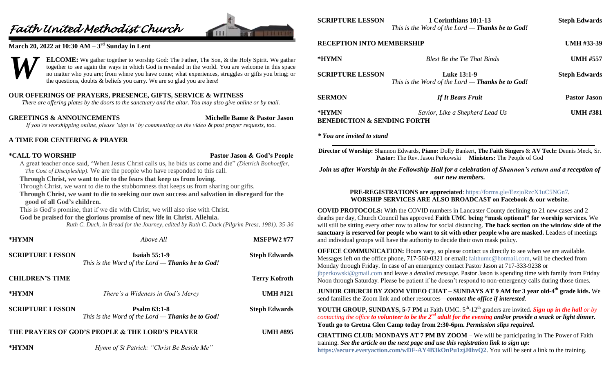## *Faith United Methodist Church*



#### **March 20, 2022 at 10:30 AM – 3 rd Sunday in Lent**



#### **OUR OFFERINGS OF PRAYERS, PRESENCE, GIFTS, SERVICE & WITNESS**

*There are offering plates by the doors to the sanctuary and the altar. You may also give online or by mail.*

**GREETINGS & ANNOUNCEMENTS Michelle Bame & Pastor Jason** *If you're worshipping online, please 'sign in' by commenting on the video & post prayer requests, too.*

#### **A TIME FOR CENTERING & PRAYER**

**\*CALL TO WORSHIP Pastor Jason & God's People**

A great teacher once said, "When Jesus Christ calls us, he bids us come and die" *(Dietrich Bonhoeffer, The Cost of Discipleship)*. We are the people who have responded to this call.

#### **Through Christ, we want to die to the fears that keep us from loving.**

Through Christ, we want to die to the stubbornness that keeps us from sharing our gifts.

**Through Christ, we want to die to seeking our own success and salvation in disregard for the good of all God's children.**

This is God's promise, that if we die with Christ, we will also rise with Christ.

#### **God be praised for the glorious promise of new life in Christ. Alleluia.**

*Ruth C. Duck, in Bread for the Journey, edited by Ruth C. Duck (Pilgrim Press, 1981), 35-36*

| *HYMN                   | Above All                                                                       | <b>MSFPW2 #77</b>    |
|-------------------------|---------------------------------------------------------------------------------|----------------------|
| <b>SCRIPTURE LESSON</b> | <b>Isaiah 55:1-9</b><br>This is the Word of the Lord — <b>Thanks be to God!</b> | <b>Steph Edwards</b> |
| <b>CHILDREN'S TIME</b>  |                                                                                 | <b>Terry Kofroth</b> |
| *HYMN                   | There's a Wideness in God's Mercy                                               | <b>UMH #121</b>      |
| <b>SCRIPTURE LESSON</b> | Psalm $63:1-8$<br>This is the Word of the Lord — <b>Thanks be to God!</b>       | <b>Steph Edwards</b> |
|                         | THE PRAYERS OF GOD'S PEOPLE & THE LORD'S PRAYER                                 | <b>UMH #895</b>      |
| *HYMN                   | Hymn of St Patrick: "Christ Be Beside Me"                                       |                      |

| <b>SCRIPTURE LESSON</b>          | 1 Corinthians 10:1-13<br>This is the Word of the Lord — <b>Thanks be to God!</b> | <b>Steph Edwards</b> |
|----------------------------------|----------------------------------------------------------------------------------|----------------------|
| <b>RECEPTION INTO MEMBERSHIP</b> |                                                                                  | <b>UMH #33-39</b>    |

| NECEL TRANTINIO MEMBEROHI                       |                                                                               | $\mathbf{U}$         |
|-------------------------------------------------|-------------------------------------------------------------------------------|----------------------|
| *HYMN                                           | <b>Blest Be the Tie That Binds</b>                                            | <b>UMH #557</b>      |
| <b>SCRIPTURE LESSON</b>                         | <b>Luke 13:1-9</b><br>This is the Word of the Lord — <b>Thanks be to God!</b> | <b>Steph Edwards</b> |
| <b>SERMON</b>                                   | <b>If It Bears Fruit</b>                                                      | <b>Pastor Jason</b>  |
| *HYMN<br><b>BENEDICTION &amp; SENDING FORTH</b> | Savior, Like a Shepherd Lead Us                                               | <b>UMH #381</b>      |

*\* You are invited to stand*

**Director of Worship:** Shannon Edwards, **Piano:** Dolly Bankert, **The Faith Singers** & **AV Tech:** Dennis Meck, Sr. **Pastor:** The Rev. Jason Perkowski **Ministers:** The People of God

#### *Join us after Worship in the Fellowship Hall for a celebration of Shannon's return and a reception of our new members.*

#### **PRE-REGISTRATIONS are appreciated**:<https://forms.gle/EezjoRzcX1uC5NGn7>*.* **WORSHIP SERVICES ARE ALSO BROADCAST on Facebook & our website.**

**COVID PROTOCOLS:** With the COVID numbers in Lancaster County declining to 21 new cases and 2 deaths per day, Church Council has approved **Faith UMC being "mask optional" for worship services.** We will still be sitting every other row to allow for social distancing. **The back section on the window side of the sanctuary is reserved for people who want to sit with other people who are masked.** Leaders of meetings and individual groups will have the authority to decide their own mask policy.

**OFFICE COMMUNICATION:** Hours vary, so please contact us directly to see when we are available. Messages left on the office phone, 717-560-0321 or email: [faithumc@hotmail.com,](mailto:faithumc@hotmail.com) will be checked from Monday through Friday. In case of an emergency contact Pastor Jason at 717-333-9238 or [jbperkowski@gmail.com](mailto:jbperkowski@gmail.com) and leave a *detailed message*. Pastor Jason is spending time with family from Friday Noon through Saturday. Please be patient if he doesn't respond to non-emergency calls during those times.

**JUNIOR CHURCH BY ZOOM VIDEO CHAT – SUNDAYS AT 9 AM for 3 year old-4 th grade kids.** We send families the Zoom link and other resources—*contact the office if interested*.

**YOUTH GROUP, SUNDAYS, 5-7 PM** at Faith UMC. 5<sup>th</sup>-12<sup>th</sup> graders are invited. Sign up in the hall or by *contacting the office to volunteer to be the 2nd adult for the evening and/or provide a snack or light dinner.* **Youth go to Gretna Glen Camp today from 2:30-6pm.** *Permission slips required***.**

**CHATTING CLUB: MONDAYS AT 7 PM BY ZOOM –** We will be participating in The Power of Faith training. *See the article on the next page and use this registration link to sign up:* **<https://secure.everyaction.com/wDF-AY4B3kOnPu1zjJ0hvQ2>**. You will be sent a link to the training.